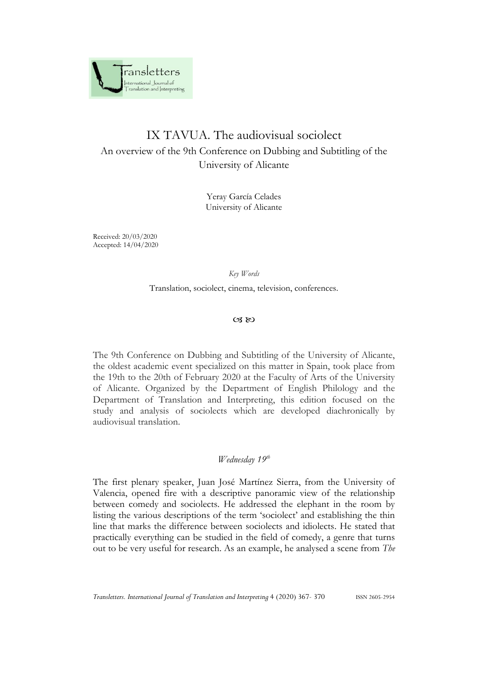

# IX TAVUA. The audiovisual sociolect An overview of the 9th Conference on Dubbing and Subtitling of the University of Alicante

Yeray García Celades University of Alicante

Received: 20/03/2020 Accepted: 14/04/2020

#### *Key Words*

Translation, sociolect, cinema, television, conferences.

### $\alpha$   $\infty$

The 9th Conference on Dubbing and Subtitling of the University of Alicante, the oldest academic event specialized on this matter in Spain, took place from the 19th to the 20th of February 2020 at the Faculty of Arts of the University of Alicante. Organized by the Department of English Philology and the Department of Translation and Interpreting, this edition focused on the study and analysis of sociolects which are developed diachronically by audiovisual translation.

## *Wednesday 19 th*

The first plenary speaker, Juan José Martínez Sierra, from the University of Valencia, opened fire with a descriptive panoramic view of the relationship between comedy and sociolects. He addressed the elephant in the room by listing the various descriptions of the term 'sociolect' and establishing the thin line that marks the difference between sociolects and idiolects. He stated that practically everything can be studied in the field of comedy, a genre that turns out to be very useful for research. As an example, he analysed a scene from *The* 

*Transletters. International Journal of Translation and Interpreting* 4 (2020) 367- 370 ISSN 2605-2954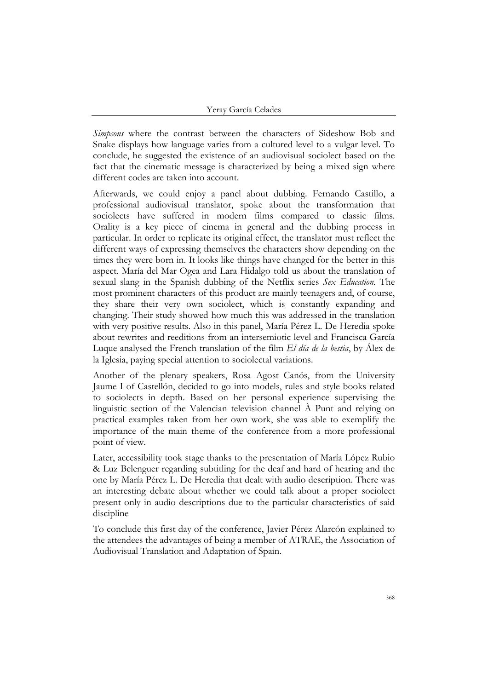*Simpsons* where the contrast between the characters of Sideshow Bob and Snake displays how language varies from a cultured level to a vulgar level. To conclude, he suggested the existence of an audiovisual sociolect based on the fact that the cinematic message is characterized by being a mixed sign where different codes are taken into account.

Afterwards, we could enjoy a panel about dubbing. Fernando Castillo, a professional audiovisual translator, spoke about the transformation that sociolects have suffered in modern films compared to classic films. Orality is a key piece of cinema in general and the dubbing process in particular. In order to replicate its original effect, the translator must reflect the different ways of expressing themselves the characters show depending on the times they were born in. It looks like things have changed for the better in this aspect. María del Mar Ogea and Lara Hidalgo told us about the translation of sexual slang in the Spanish dubbing of the Netflix series *Sex Education.* The most prominent characters of this product are mainly teenagers and, of course, they share their very own sociolect, which is constantly expanding and changing. Their study showed how much this was addressed in the translation with very positive results. Also in this panel, María Pérez L. De Heredia spoke about rewrites and reeditions from an intersemiotic level and Francisca García Luque analysed the French translation of the film *El día de la bestia*, by Álex de la Iglesia, paying special attention to sociolectal variations.

Another of the plenary speakers, Rosa Agost Canós, from the University Jaume I of Castellón, decided to go into models, rules and style books related to sociolects in depth. Based on her personal experience supervising the linguistic section of the Valencian television channel À Punt and relying on practical examples taken from her own work, she was able to exemplify the importance of the main theme of the conference from a more professional point of view.

Later, accessibility took stage thanks to the presentation of María López Rubio & Luz Belenguer regarding subtitling for the deaf and hard of hearing and the one by María Pérez L. De Heredia that dealt with audio description. There was an interesting debate about whether we could talk about a proper sociolect present only in audio descriptions due to the particular characteristics of said discipline

To conclude this first day of the conference, Javier Pérez Alarcón explained to the attendees the advantages of being a member of ATRAE, the Association of Audiovisual Translation and Adaptation of Spain.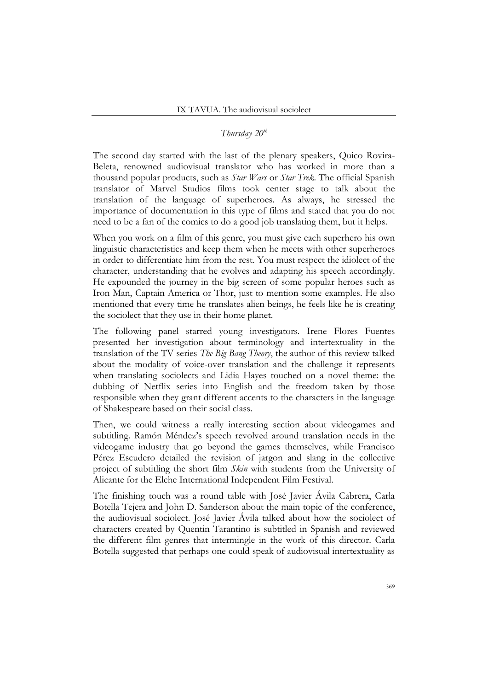## *Thursday 20th*

The second day started with the last of the plenary speakers, Quico Rovira-Beleta, renowned audiovisual translator who has worked in more than a thousand popular products, such as *Star Wars* or *Star Trek*. The official Spanish translator of Marvel Studios films took center stage to talk about the translation of the language of superheroes. As always, he stressed the importance of documentation in this type of films and stated that you do not need to be a fan of the comics to do a good job translating them, but it helps.

When you work on a film of this genre, you must give each superhero his own linguistic characteristics and keep them when he meets with other superheroes in order to differentiate him from the rest. You must respect the idiolect of the character, understanding that he evolves and adapting his speech accordingly. He expounded the journey in the big screen of some popular heroes such as Iron Man, Captain America or Thor, just to mention some examples. He also mentioned that every time he translates alien beings, he feels like he is creating the sociolect that they use in their home planet.

The following panel starred young investigators. Irene Flores Fuentes presented her investigation about terminology and intertextuality in the translation of the TV series *The Big Bang Theory*, the author of this review talked about the modality of voice-over translation and the challenge it represents when translating sociolects and Lidia Hayes touched on a novel theme: the dubbing of Netflix series into English and the freedom taken by those responsible when they grant different accents to the characters in the language of Shakespeare based on their social class.

Then, we could witness a really interesting section about videogames and subtitling. Ramón Méndez's speech revolved around translation needs in the videogame industry that go beyond the games themselves, while Francisco Pérez Escudero detailed the revision of jargon and slang in the collective project of subtitling the short film *Skin* with students from the University of Alicante for the Elche International Independent Film Festival.

The finishing touch was a round table with José Javier Ávila Cabrera, Carla Botella Tejera and John D. Sanderson about the main topic of the conference, the audiovisual sociolect. José Javier Ávila talked about how the sociolect of characters created by Quentin Tarantino is subtitled in Spanish and reviewed the different film genres that intermingle in the work of this director. Carla Botella suggested that perhaps one could speak of audiovisual intertextuality as